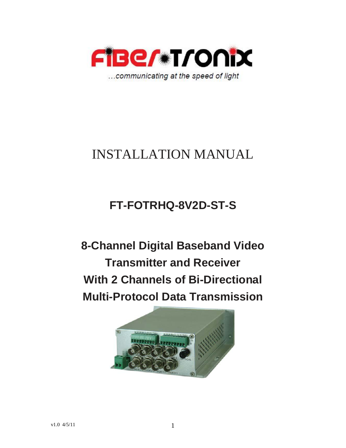

# INSTALLATION MANUAL

# **FT-FOTRHQ-8V2D-ST-S**

**8-Channel Digital Baseband Video Transmitter and Receiver With 2 Channels of Bi-Directional Multi-Protocol Data Transmission** 

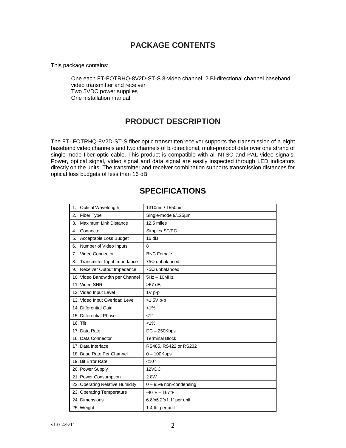# **PACKAGE CONTENTS**

This package contains:

One each FT-FOTRHQ-8V2D-ST-S 8-video channel, 2 Bi-directional channel baseband video transmitter and receiver Two 5VDC power supplies One installation manual

# **PRODUCT DESCRIPTION**

The FT- FOTRHQ-8V2D-ST-S fiber optic transmitter/receiver supports the transmission of a eight baseband video channels and two channels of bi-directional, multi-protocol data over one strand of single-mode fiber optic cable. This product is compatible with all NTSC and PAL video signals. Power, optical signal, video signal and data signal are easily inspected through LED indicators directly on the units. The transmitter and receiver combination supports transmission distances for optical loss budgets of less than 16 dB.

| Optical Wavelength<br>1.           | 1310nm / 1550nm          |
|------------------------------------|--------------------------|
| Fiber Type<br>2.                   | Single-mode 9/125um      |
| <b>Maximum Link Distance</b><br>3. | 12.5 miles               |
| 4.<br>Connector                    | Simplex ST/PC            |
| Acceptable Loss Budget<br>5.       | 16dB                     |
| Number of Video Inputs<br>6.       | 8                        |
| Video Connector<br>7.              | <b>BNC Female</b>        |
| Transmitter Input Impedance<br>8.  | $75\Omega$ unbalanced    |
| Receiver Output Impedance<br>9.    | $75\Omega$ unbalanced    |
| 10. Video Bandwidth per Channel    | $5Hz - 10MHz$            |
| 11. Video SNR                      | $>67$ dB                 |
| 12. Video Input Level              | $1V p-p$                 |
| 13. Video Input Overload Level     | >1.5V p-p                |
| 14. Differential Gain              | $< 1\%$                  |
| 15. Differential Phase             | $1^{\circ}$              |
| 16. Tilt                           | $< 1\%$                  |
| 17. Data Rate                      | $DC - 250Kbps$           |
| 16. Data Connector                 | <b>Terminal Block</b>    |
| 17. Data Interface                 | RS485, RS422 or RS232    |
| 18. Baud Rate Per Channel          | $0 - 100Kbps$            |
| 19. Bit Error Rate                 | $10^{-9}$                |
| 20. Power Supply                   | 12VDC                    |
| 21. Power Consumption              | 2.8W                     |
| 22. Operating Relative Humidity    | $0 - 95%$ non-condensing |
| 23. Operating Temperature          | $-40^{\circ}$ F - 167°F  |
| 24. Dimensions                     | 6.8"x5.2"x1.1" per unit  |
| 25. Weight                         | 1.4 lb. per unit         |

# **SPECIFICATIONS**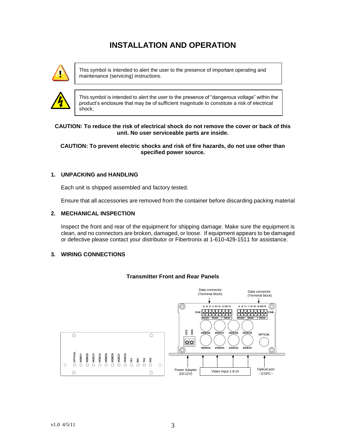# **INSTALLATION AND OPERATION**



This symbol is intended to alert the user to the presence of important operating and maintenance (servicing) instructions.



This symbol is intended to alert the user to the presence of "dangerous voltage" within the product's enclosure that may be of sufficient magnitude to constitute a risk of electrical shock.

## **CAUTION: To reduce the risk of electrical shock do not remove the cover or back of this unit. No user serviceable parts are inside.**

## **CAUTION: To prevent electric shocks and risk of fire hazards, do not use other than specified power source.**

## **1. UNPACKING and HANDLING**

Each unit is shipped assembled and factory tested.

Ensure that all accessories are removed from the container before discarding packing material

## **2. MECHANICAL INSPECTION**

Inspect the front and rear of the equipment for shipping damage. Make sure the equipment is clean, and no connectors are broken, damaged, or loose. If equipment appears to be damaged or defective please contact your distributor or Fibertronix at 1-610-429-1511 for assistance.

#### **3. WIRING CONNECTIONS**



## **Transmitter Front and Rear Panels**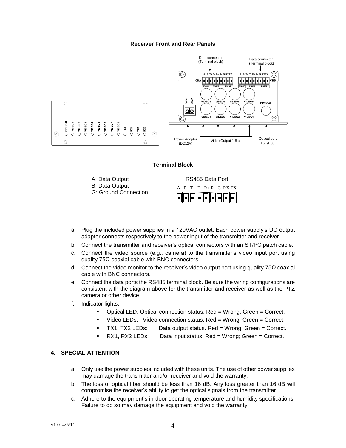## **Receiver Front and Rear Panels**



#### **Terminal Block**





- a. Plug the included power supplies in a 120VAC outlet. Each power supply's DC output adaptor connects respectively to the power input of the transmitter and receiver.
- b. Connect the transmitter and receiver's optical connectors with an ST/PC patch cable.
- c. Connect the video source (e.g., camera) to the transmitter's video input port using quality 75Ω coaxial cable with BNC connectors.
- d. Connect the video monitor to the receiver's video output port using quality 75Ω coaxial cable with BNC connectors.
- e. Connect the data ports the RS485 terminal block. Be sure the wiring configurations are consistent with the diagram above for the transmitter and receiver as well as the PTZ camera or other device.
- f. Indicator lights:
	- Optical LED: Optical connection status. Red = Wrong; Green = Correct.
	- Video LEDs: Video connection status. Red = Wrong; Green = Correct.
	- TX1, TX2 LEDs: Data output status. Red = Wrong; Green = Correct.
	- RX1, RX2 LEDs: Data input status. Red = Wrong; Green = Correct.

## **4. SPECIAL ATTENTION**

- a. Only use the power supplies included with these units. The use of other power supplies may damage the transmitter and/or receiver and void the warranty.
- b. The loss of optical fiber should be less than 16 dB. Any loss greater than 16 dB will compromise the receiver's ability to get the optical signals from the transmitter.
- c. Adhere to the equipment's in-door operating temperature and humidity specifications. Failure to do so may damage the equipment and void the warranty.